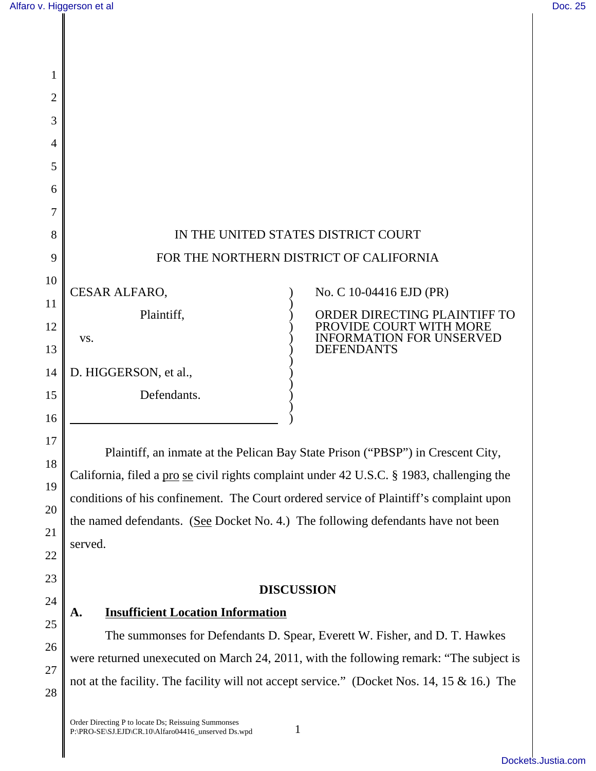17

18

19

20

21

22

23

24

25

26

27

28

| 1              |                                         |                                                         |
|----------------|-----------------------------------------|---------------------------------------------------------|
| $\overline{c}$ |                                         |                                                         |
| 3              |                                         |                                                         |
| 4              |                                         |                                                         |
| 5              |                                         |                                                         |
| 6              |                                         |                                                         |
| 7              |                                         |                                                         |
| 8              | IN THE UNITED STATES DISTRICT COURT     |                                                         |
| 9              | FOR THE NORTHERN DISTRICT OF CALIFORNIA |                                                         |
| 10             |                                         |                                                         |
| 11             | CESAR ALFARO,                           | No. C 10-04416 EJD (PR)                                 |
| 12             | Plaintiff,                              | ORDER DIRECTING PLAINTIFF TO<br>PROVIDE COURT WITH MORE |
| 13             | VS.                                     | <b>INFORMATION FOR UNSERVED</b><br><b>DEFENDANTS</b>    |
| 14             | D. HIGGERSON, et al.,                   |                                                         |
| 15             | Defendants.                             |                                                         |
| 16             |                                         |                                                         |

Plaintiff, an inmate at the Pelican Bay State Prison ("PBSP") in Crescent City, California, filed a pro se civil rights complaint under 42 U.S.C. § 1983, challenging the conditions of his confinement. The Court ordered service of Plaintiff's complaint upon the named defendants. (See Docket No. 4.) The following defendants have not been served.

### **DISCUSSION**

# **A. Insufficient Location Information**

The summonses for Defendants D. Spear, Everett W. Fisher, and D. T. Hawkes were returned unexecuted on March 24, 2011, with the following remark: "The subject is not at the facility. The facility will not accept service." (Docket Nos. 14, 15 & 16.) The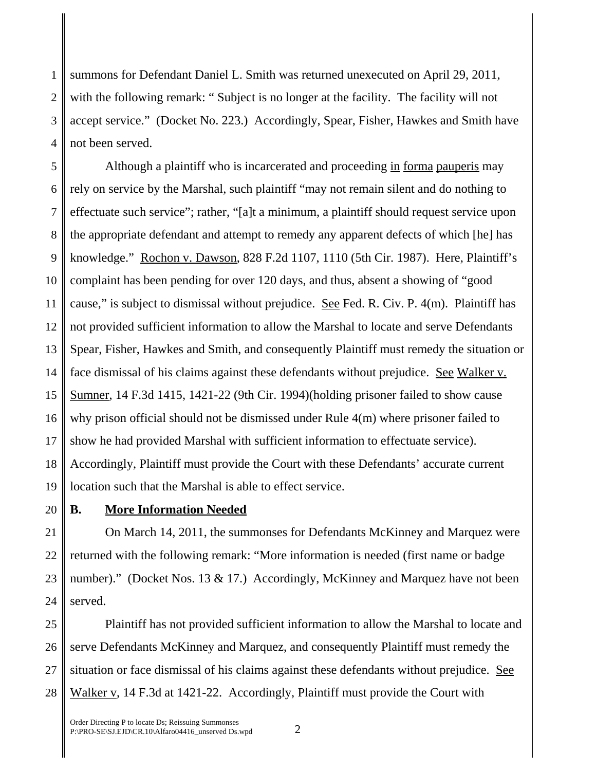1 2 3 4 summons for Defendant Daniel L. Smith was returned unexecuted on April 29, 2011, with the following remark: "Subject is no longer at the facility. The facility will not accept service." (Docket No. 223.) Accordingly, Spear, Fisher, Hawkes and Smith have not been served.

5 6 7 8 9 10 11 12 13 14 15 16 17 18 19 Although a plaintiff who is incarcerated and proceeding in forma pauperis may rely on service by the Marshal, such plaintiff "may not remain silent and do nothing to effectuate such service"; rather, "[a]t a minimum, a plaintiff should request service upon the appropriate defendant and attempt to remedy any apparent defects of which [he] has knowledge." Rochon v. Dawson, 828 F.2d 1107, 1110 (5th Cir. 1987). Here, Plaintiff's complaint has been pending for over 120 days, and thus, absent a showing of "good cause," is subject to dismissal without prejudice. See Fed. R. Civ. P. 4(m). Plaintiff has not provided sufficient information to allow the Marshal to locate and serve Defendants Spear, Fisher, Hawkes and Smith, and consequently Plaintiff must remedy the situation or face dismissal of his claims against these defendants without prejudice. See Walker v. Sumner, 14 F.3d 1415, 1421-22 (9th Cir. 1994)(holding prisoner failed to show cause why prison official should not be dismissed under Rule 4(m) where prisoner failed to show he had provided Marshal with sufficient information to effectuate service). Accordingly, Plaintiff must provide the Court with these Defendants' accurate current location such that the Marshal is able to effect service.

20

# **B. More Information Needed**

21 22 23 24 On March 14, 2011, the summonses for Defendants McKinney and Marquez were returned with the following remark: "More information is needed (first name or badge number)." (Docket Nos. 13 & 17.) Accordingly, McKinney and Marquez have not been served.

25 26 27 28 Plaintiff has not provided sufficient information to allow the Marshal to locate and serve Defendants McKinney and Marquez, and consequently Plaintiff must remedy the situation or face dismissal of his claims against these defendants without prejudice. See Walker v, 14 F.3d at 1421-22. Accordingly, Plaintiff must provide the Court with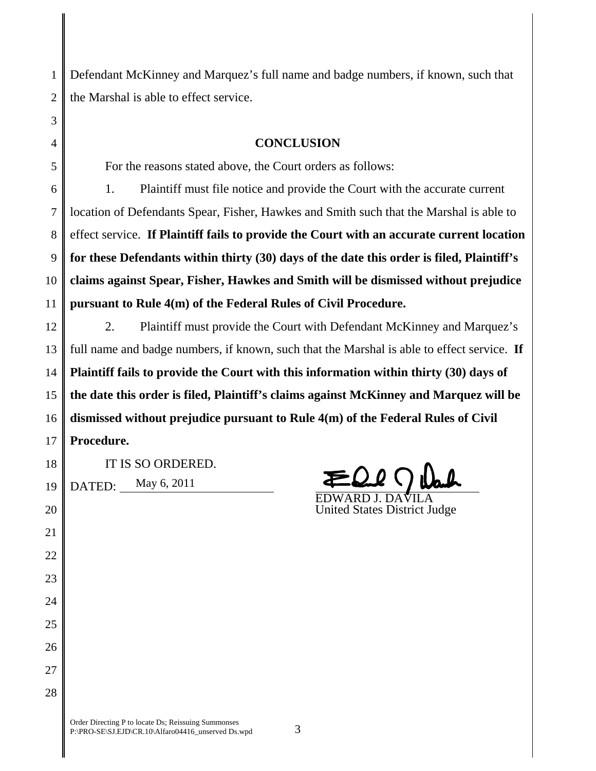1 2 Defendant McKinney and Marquez's full name and badge numbers, if known, such that the Marshal is able to effect service.

### **CONCLUSION**

For the reasons stated above, the Court orders as follows:

6 7 8 9 10 11 1. Plaintiff must file notice and provide the Court with the accurate current location of Defendants Spear, Fisher, Hawkes and Smith such that the Marshal is able to effect service. **If Plaintiff fails to provide the Court with an accurate current location for these Defendants within thirty (30) days of the date this order is filed, Plaintiff's claims against Spear, Fisher, Hawkes and Smith will be dismissed without prejudice pursuant to Rule 4(m) of the Federal Rules of Civil Procedure.** 

12 13 14 15 16 17 2. Plaintiff must provide the Court with Defendant McKinney and Marquez's full name and badge numbers, if known, such that the Marshal is able to effect service. **If Plaintiff fails to provide the Court with this information within thirty (30) days of the date this order is filed, Plaintiff's claims against McKinney and Marquez will be dismissed without prejudice pursuant to Rule 4(m) of the Federal Rules of Civil Procedure.** 

18

20

21

22

23

24

25

26

27

28

3

4

5

IT IS SO ORDERED.

19 May 6, 2011

 $\overrightarrow{DATED}$ :  $\frac{May 6, 2011}$   $\overrightarrow{EDWARD J. DAVILA}$ 

United States District Judge